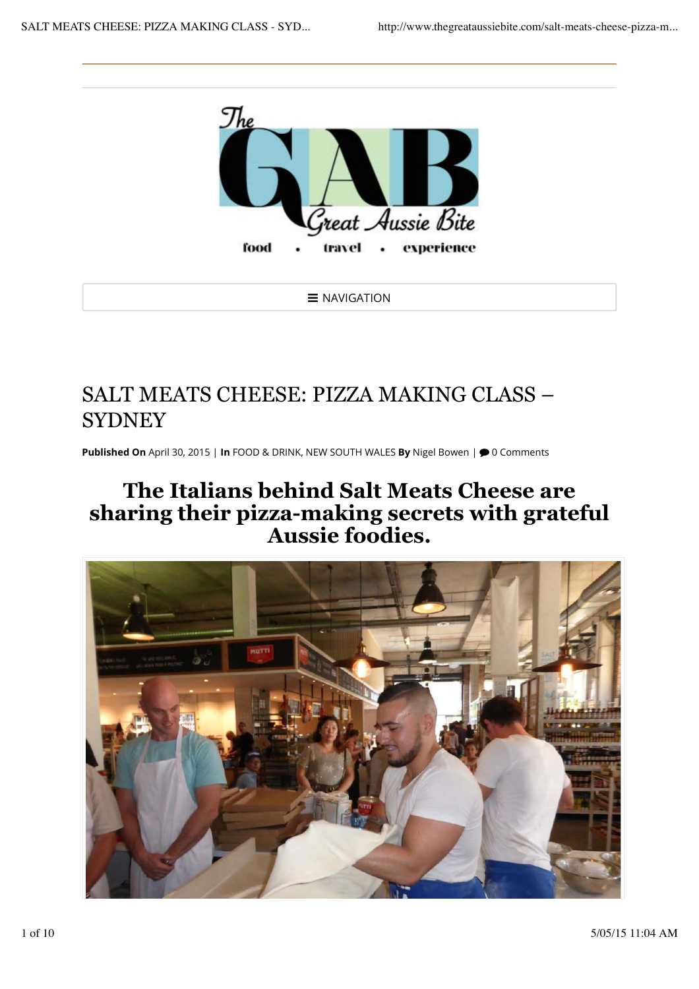

 $\equiv$  NAVIGATION

## SALT MEATS CHEESE: PIZZA MAKING CLASS – **SYDNEY**

Published On April 30, 2015 | In FOOD & DRINK, NEW SOUTH WALES By Nigel Bowen |  $\bigcirc$  0 Comments

## **The Italians behind Salt Meats Cheese are sharing their pizza-making secrets with grateful Aussie foodies.**

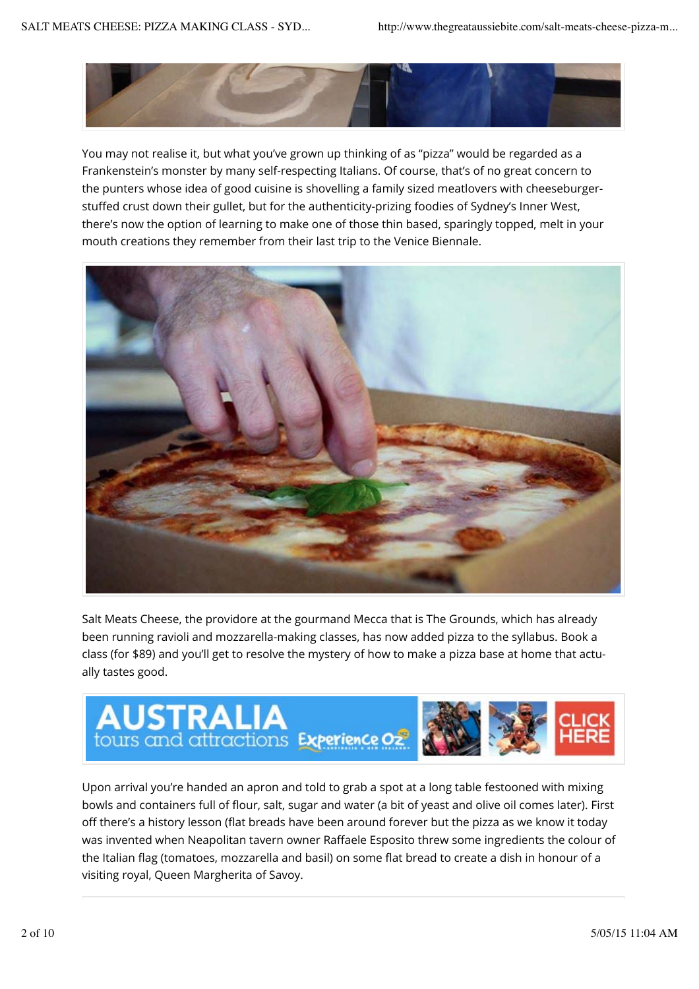

You may not realise it, but what you've grown up thinking of as "pizza" would be regarded as a Frankenstein's monster by many self-respecting Italians. Of course, that's of no great concern to the punters whose idea of good cuisine is shovelling a family sized meatlovers with cheeseburgerstuffed crust down their gullet, but for the authenticity-prizing foodies of Sydney's Inner West, there's now the option of learning to make one of those thin based, sparingly topped, melt in your mouth creations they remember from their last trip to the Venice Biennale.



Salt Meats Cheese, the providore at the gourmand Mecca that is The Grounds, which has already been running ravioli and mozzarella-making classes, has now added pizza to the syllabus. Book a class (for \$89) and you'll get to resolve the mystery of how to make a pizza base at home that actually tastes good.



Upon arrival you're handed an apron and told to grab a spot at a long table festooned with mixing bowls and containers full of flour, salt, sugar and water (a bit of yeast and olive oil comes later). First off there's a history lesson (flat breads have been around forever but the pizza as we know it today was invented when Neapolitan tavern owner Raffaele Esposito threw some ingredients the colour of the Italian flag (tomatoes, mozzarella and basil) on some flat bread to create a dish in honour of a visiting royal, Queen Margherita of Savoy.